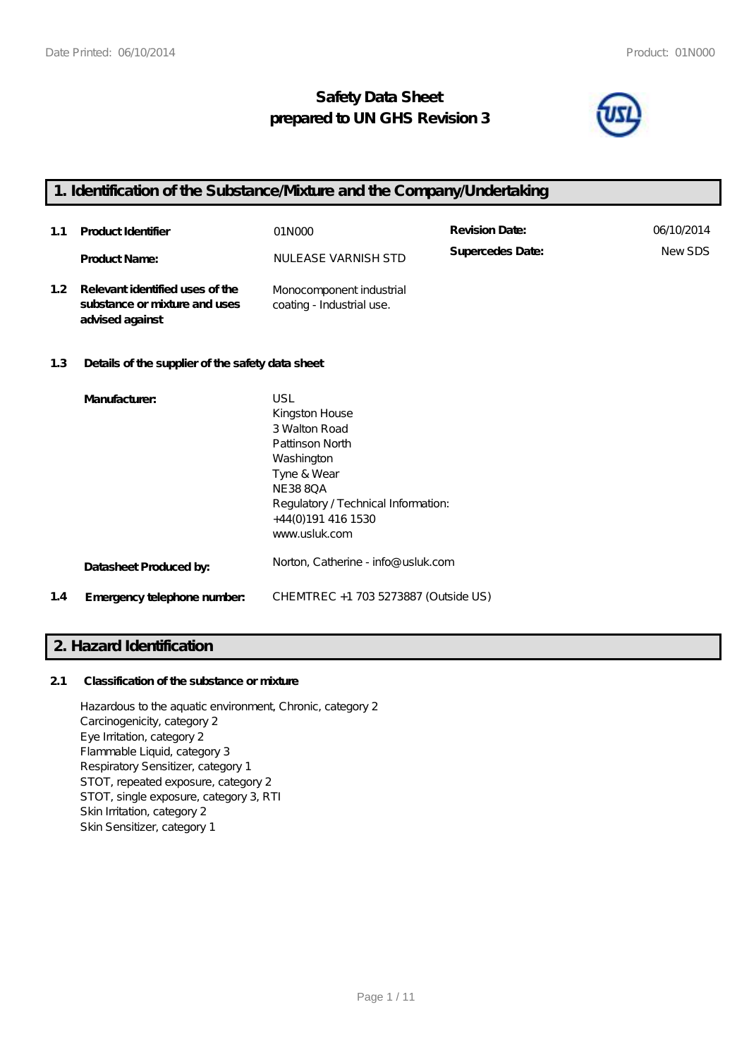# **Safety Data Sheet prepared to UN GHS Revision 3**



# **1. Identification of the Substance/Mixture and the Company/Undertaking**

| 1.1              | Product Identifier                                                                  | 01N000                                                | <b>Revision Date:</b> | 06/10/2014 |
|------------------|-------------------------------------------------------------------------------------|-------------------------------------------------------|-----------------------|------------|
|                  | <b>Product Name:</b>                                                                | NULEASE VARNISH STD                                   | Supercedes Date:      | NewSDS     |
| 1.2 <sub>1</sub> | Relevant identified uses of the<br>substance or mixture and uses<br>advised against | Monocomponent industrial<br>coating - Industrial use. |                       |            |

## **1.3 Details of the supplier of the safety data sheet**

|     | Manufacturer:               | USL                                  |
|-----|-----------------------------|--------------------------------------|
|     |                             | Kingston House                       |
|     |                             | 3 Walton Road                        |
|     |                             | Pattinson North                      |
|     |                             | Washington                           |
|     |                             | Tyne & Wear                          |
|     |                             | <b>NE3880A</b>                       |
|     |                             | Regulatory / Technical Information:  |
|     |                             | +44(0)191 416 1530                   |
|     |                             | www.usluk.com                        |
|     | Datasheet Produced by:      | Norton, Catherine - info@ usluk.com  |
| 1.4 | Emergency telephone number. | CHEMTREC +1 703 5273887 (Outside US) |

# **2. Hazard Identification**

## **2.1 Classification of the substance or mixture**

Hazardous to the aquatic environment, Chronic, category 2 Carcinogenicity, category 2 Eye Irritation, category 2 Flammable Liquid, category 3 Respiratory Sensitizer, category 1 STOT, repeated exposure, category 2 STOT, single exposure, category 3, RTI Skin Irritation, category 2 Skin Sensitizer, category 1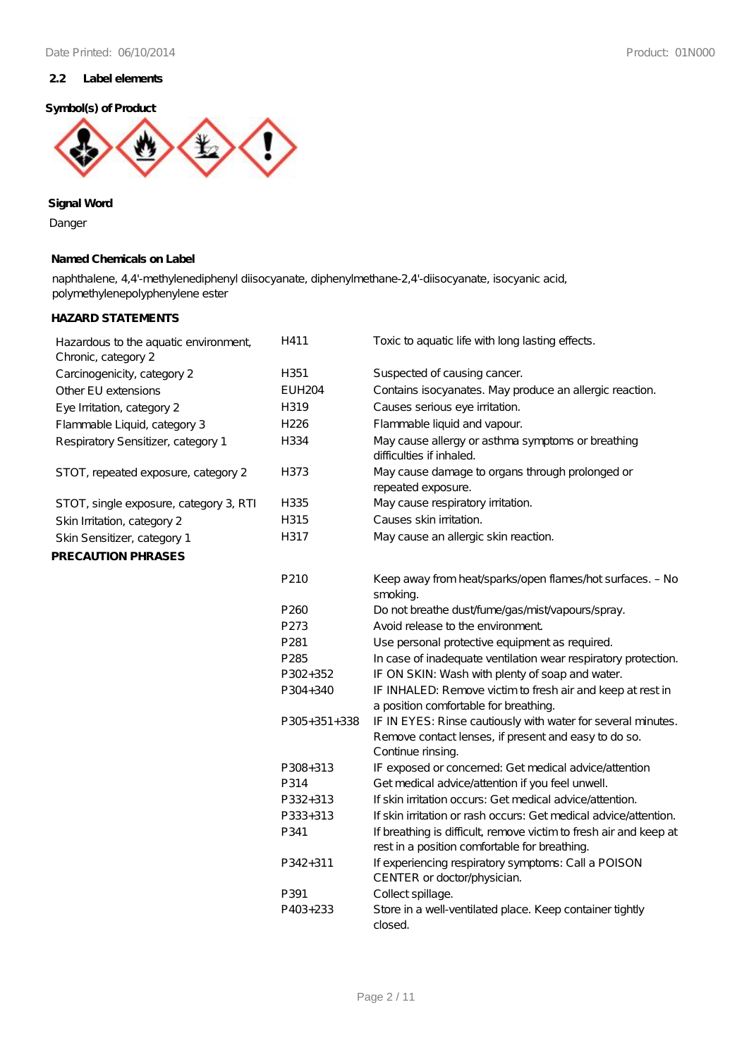## **2.2 Label elements**

#### **Symbol(s) of Product**



**Signal Word**

Danger

## **Named Chemicals on Label**

naphthalene, 4,4'-methylenediphenyl diisocyanate, diphenylmethane-2,4'-diisocyanate, isocyanic acid, polymethylenepolyphenylene ester

## **HAZARD STATEMENTS**

| Hazardous to the aquatic environment,<br>Chronic, category 2 | H411             | Toxic to aquatic life with long lasting effects.                                                                                          |
|--------------------------------------------------------------|------------------|-------------------------------------------------------------------------------------------------------------------------------------------|
| Carcinogenicity, category 2                                  | H351             | Suspected of causing cancer.                                                                                                              |
| Other EU extensions                                          | <b>EUH204</b>    | Contains isocyanates. May produce an allergic reaction.                                                                                   |
| Eye Irritation, category 2                                   | H319             | Causes serious eye irritation.                                                                                                            |
| Flammable Liquid, category 3                                 | H226             | Flammable liquid and vapour.                                                                                                              |
| Respiratory Sensitizer, category 1                           | H334             | May cause allergy or asthma symptoms or breathing<br>difficulties if inhaled.                                                             |
| STOT, repeated exposure, category 2                          | H373             | May cause damage to organs through prolonged or<br>repeated exposure.                                                                     |
| STOT, single exposure, category 3, RTI                       | H335             | May cause respiratory irritation.                                                                                                         |
| Skin Irritation, category 2                                  | H315             | Causes skin irritation.                                                                                                                   |
| Skin Sensitizer, category 1                                  | H317             | May cause an allergic skin reaction.                                                                                                      |
| PRECAUTION PHRASES                                           |                  |                                                                                                                                           |
|                                                              | P210             | Keep away from heat/sparks/open flames/hot surfaces. - No<br>smoking.                                                                     |
|                                                              | P <sub>260</sub> | Do not breathe dust/fume/gas/mist/vapours/spray.                                                                                          |
|                                                              | P273             | Avoid release to the environment                                                                                                          |
|                                                              | P281             | Use personal protective equipment as required.                                                                                            |
|                                                              | P285             | In case of inadequate ventilation wear respiratory protection.                                                                            |
|                                                              | P302+352         | IF ON SKIN: Wash with plenty of soap and water.                                                                                           |
|                                                              | P304+340         | IF INHALED: Remove victim to fresh air and keep at rest in<br>a position comfortable for breathing.                                       |
|                                                              | $P305+351+338$   | IF IN EYES: Rinse cautiously with water for several minutes.<br>Remove contact lenses, if present and easy to do so.<br>Continue rinsing. |
|                                                              | P308+313         | IF exposed or concerned: Get medical advice/attention                                                                                     |
|                                                              | P314             | Get medical advice/attention if you feel unwell.                                                                                          |
|                                                              | P332+313         | If skin irritation occurs: Get medical advice/attention.                                                                                  |
|                                                              | P333+313         | If skin irritation or rash occurs: Get medical advice/attention.                                                                          |
|                                                              | P341             | If breathing is difficult, remove victim to fresh air and keep at<br>rest in a position comfortable for breathing.                        |
|                                                              | P342+311         | If experiencing respiratory symptoms: Call a POISON<br>CENTER or doctor/physician.                                                        |
|                                                              | P391             | Collect spillage.                                                                                                                         |
|                                                              | P403+233         | Store in a well-ventilated place. Keep container tightly<br>closed.                                                                       |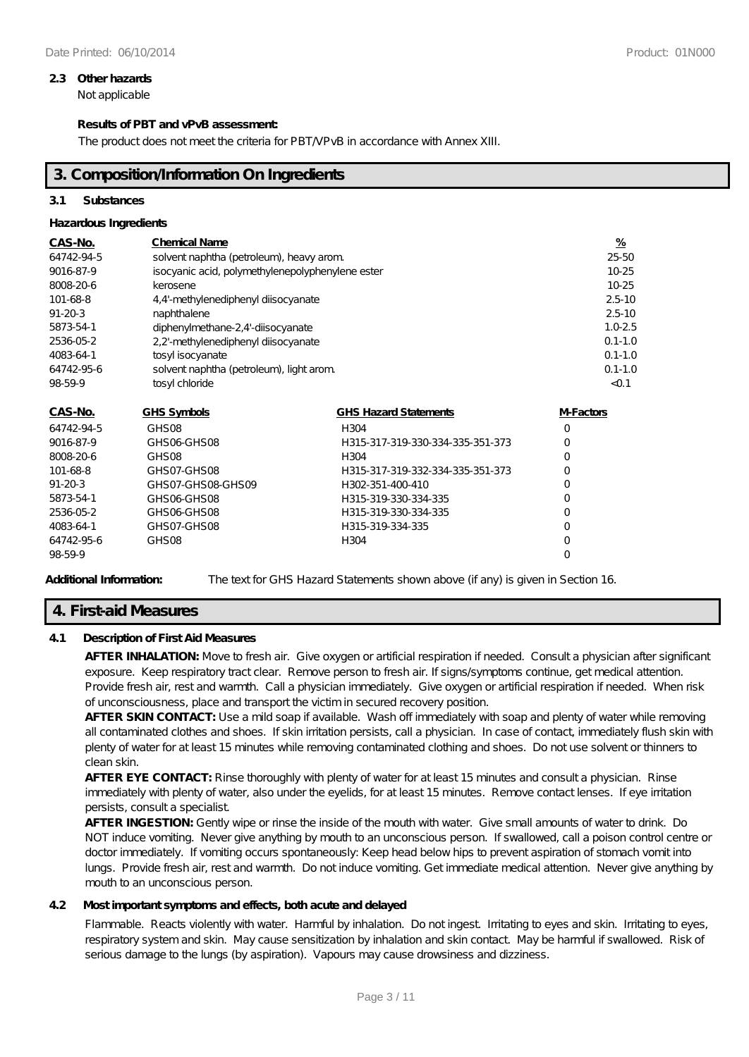#### **2.3 Other hazards**

Not applicable

## **Results of PBT and vPvB assessment:**

The product does not meet the criteria for PBT/VPvB in accordance with Annex XIII.

## **3. Composition/Information On Ingredients**

## **3.1 Substances**

## **Hazardous Ingredients**

| CAS-No.       | <b>Chemical Name</b>                             |                                  | $\frac{9}{6}$ |
|---------------|--------------------------------------------------|----------------------------------|---------------|
| 64742-94-5    | solvent naphtha (petroleum), heavy arom.         |                                  |               |
| 9016-87-9     | isocyanic acid, polymethylenepolyphenylene ester |                                  | 10-25         |
| 8008-20-6     | kerosene                                         |                                  | 10-25         |
| 101-68-8      | 4,4'-methylenediphenyl diisocyanate              |                                  | $2.5 - 10$    |
| $91 - 20 - 3$ | naphthalene                                      |                                  | $2.5 - 10$    |
| 5873-54-1     | diphenylmethane-2,4'-diisocyanate                |                                  | $1.0 - 2.5$   |
| 2536-05-2     | 2,2'-methylenediphenyl diisocyanate              |                                  | $0.1 - 1.0$   |
| 4083-64-1     | tosyl isocyanate                                 |                                  | $0.1 - 1.0$   |
| 64742-95-6    | solvent naphtha (petroleum), light arom.         | $0.1 - 1.0$                      |               |
| 98-59-9       | tosyl chloride                                   |                                  | < 0.1         |
| CAS-No.       | <b>GHS Symbols</b>                               | <b>GHS Hazard Statements</b>     | M-Factors     |
| 64742-94-5    | GHS <sub>08</sub>                                | H304                             | $\circ$       |
| 9016-87-9     | GHSO6-GHSO8                                      | H315-317-319-330-334-335-351-373 | 0             |
| 8008-20-6     | GHS <sub>08</sub>                                | H304                             | O             |
| 101-68-8      | GHSO7-GHSO8                                      | H315-317-319-332-334-335-351-373 | O             |
| $91 - 20 - 3$ | GHSO7-GHSO8-GHSO9                                | H302-351-400-410                 | 0             |
| 5873-54-1     | GHS06-GHS08                                      | H315-319-330-334-335             | 0             |
| 2536-05-2     | GHS06-GHS08                                      | H315-319-330-334-335             | 0             |
| 4083-64-1     | GHSO7-GHSO8                                      | H315-319-334-335                 | 0             |
| 64742-95-6    | GHS <sub>08</sub>                                | H304                             | O             |
| 98-59-9       |                                                  |                                  | O             |

Additional Information: The text for GHS Hazard Statements shown above (if any) is given in Section 16.

# **4. First-aid Measures**

## **4.1 Description of First Aid Measures**

**AFTER INHALATION:** Move to fresh air. Give oxygen or artificial respiration if needed. Consult a physician after significant exposure. Keep respiratory tract clear. Remove person to fresh air. If signs/symptoms continue, get medical attention. Provide fresh air, rest and warmth. Call a physician immediately. Give oxygen or artificial respiration if needed. When risk of unconsciousness, place and transport the victim in secured recovery position.

**AFTER SKIN CONTACT:** Use a mild soap if available. Wash off immediately with soap and plenty of water while removing all contaminated clothes and shoes. If skin irritation persists, call a physician. In case of contact, immediately flush skin with plenty of water for at least 15 minutes while removing contaminated clothing and shoes. Do not use solvent or thinners to clean skin.

**AFTER EYE CONTACT:** Rinse thoroughly with plenty of water for at least 15 minutes and consult a physician. Rinse immediately with plenty of water, also under the eyelids, for at least 15 minutes. Remove contact lenses. If eye irritation persists, consult a specialist.

**AFTER INGESTION:** Gently wipe or rinse the inside of the mouth with water. Give small amounts of water to drink. Do NOT induce vomiting. Never give anything by mouth to an unconscious person. If swallowed, call a poison control centre or doctor immediately. If vomiting occurs spontaneously: Keep head below hips to prevent aspiration of stomach vomit into lungs. Provide fresh air, rest and warmth. Do not induce vomiting. Get immediate medical attention. Never give anything by mouth to an unconscious person.

## **4.2 Most important symptoms and effects, both acute and delayed**

Flammable. Reacts violently with water. Harmful by inhalation. Do not ingest Irritating to eyes and skin. Irritating to eyes, respiratory system and skin. May cause sensitization by inhalation and skin contact. May be harmful if swallowed. Risk of serious damage to the lungs (by aspiration). Vapours may cause drowsiness and dizziness.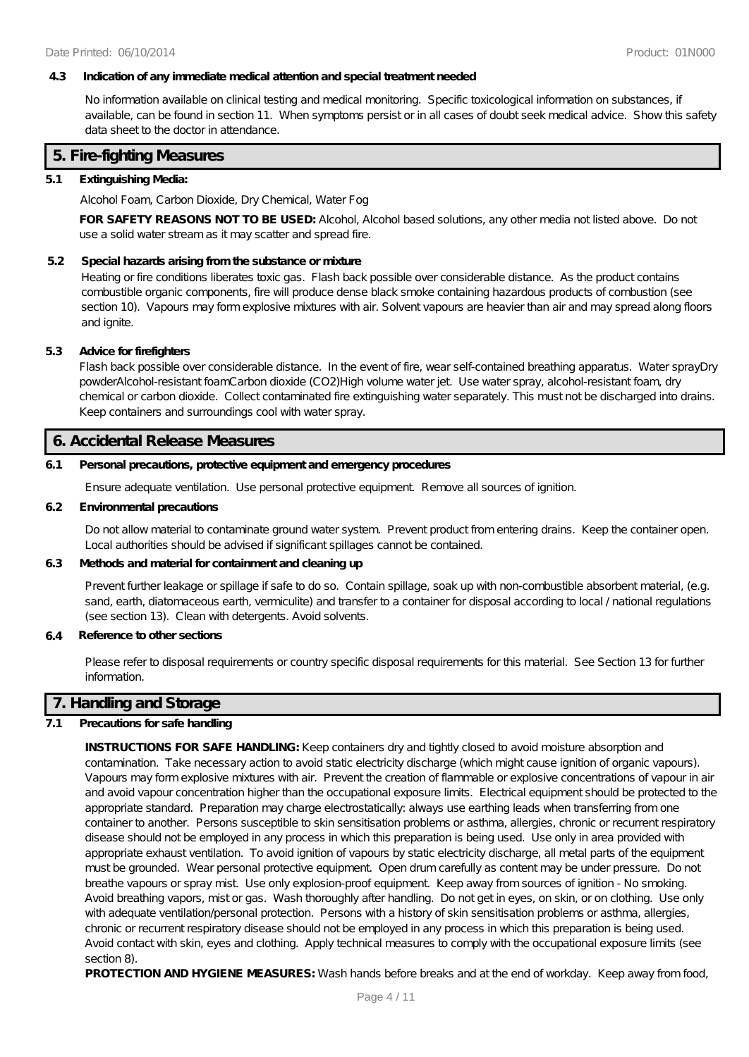#### **4.3 Indication of any immediate medical attention and special treatment needed**

No information available on clinical testing and medical monitoring. Specific toxicological information on substances, if available, can be found in section 11. When symptoms persist or in all cases of doubt seek medical advice. Show this safety data sheet to the doctor in attendance.

## **5. Fire-fighting Measures**

#### **5.1 Extinguishing Media:**

Alcohol Foam, Carbon Dioxide, Dry Chemical, Water Fog

**FOR SAFETY REASONS NOT TO BE USED:** Alcohol, Alcohol based solutions, any other media not listed above. Do not use a solid water stream as it may scatter and spread fire.

#### **5.2 Special hazards arising from the substance or mixture**

Heating or fire conditions liberates toxic gas. Flash back possible over considerable distance. As the product contains combustible organic components, fire will produce dense black smoke containing hazardous products of combustion (see section 10). Vapours may form explosive mixtures with air. Solvent vapours are heavier than air and may spread along floors and ignite.

#### **5.3 Advice for firefighters**

Flash back possible over considerable distance. In the event of fire, wear self-contained breathing apparatus. Water sprayDry powderAlcohol-resistant foamCarbon dioxide (CO2)High volume water jet. Use water spray, alcohol-resistant foam, dry chemical or carbon dioxide. Collect contaminated fire extinguishing water separately. This must not be discharged into drains. Keep containers and surroundings cool with water spray.

#### **6. Accidental Release Measures**

#### **6.1 Personal precautions, protective equipment and emergency procedures**

Ensure adequate ventilation. Use personal protective equipment. Remove all sources of ignition.

#### **6.2 Environmental precautions**

Do not allow material to contaminate ground water system. Prevent product from entering drains. Keep the container open. Local authorities should be advised if significant spillages cannot be contained.

#### **6.3 Methods and material for containment and cleaning up**

Prevent further leakage or spillage if safe to do so. Contain spillage, soak up with non-combustible absorbent material, (e.g. sand, earth, diatomaceous earth, vermiculite) and transfer to a container for disposal according to local /national regulations (see section 13). Clean with detergents. Avoid solvents.

#### **6.4 Reference to other sections**

Please refer to disposal requirements or country specific disposal requirements for this material. See Section 13 for further information.

## **7. Handling and Storage**

## **7.1 Precautions for safe handling**

**INSTRUCTIONS FOR SAFE HANDLING:** Keep containers dry and tightly closed to avoid moisture absorption and contamination. Take necessary action to avoid static electricity discharge (which might cause ignition of organic vapours). Vapours may form explosive mixtures with air. Prevent the creation of flammable or explosive concentrations of vapour in air and avoid vapour concentration higher than the occupational exposure limits. Electrical equipment should be protected to the appropriate standard. Preparation may charge electrostatically: always use earthing leads when transferring from one container to another. Persons susceptible to skin sensitisation problems or asthma, allergies, chronic or recurrent respiratory disease should not be employed in any process in which this preparation is being used. Use only in area provided with appropriate exhaust ventilation. To avoid ignition of vapours by static electricity discharge, all metal parts of the equipment must be grounded. Wear personal protective equipment. Open drum carefully as content may be under pressure. Do not breathe vapours or spray mist. Use only explosion-proof equipment. Keep away from sources of ignition - No smoking. Avoid breathing vapors, mist or gas. Wash thoroughly after handling. Do not get in eyes, on skin, or on clothing. Use only with adequate ventilation/personal protection. Persons with a history of skin sensitisation problems or asthma, allergies, chronic or recurrent respiratory disease should not be employed in any process in which this preparation is being used. Avoid contact with skin, eyes and clothing. Apply technical measures to comply with the occupational exposure limits (see section 8).

**PROTECTION AND HYGIENE MEASURES:** Wash hands before breaks and at the end of workday. Keep away from food,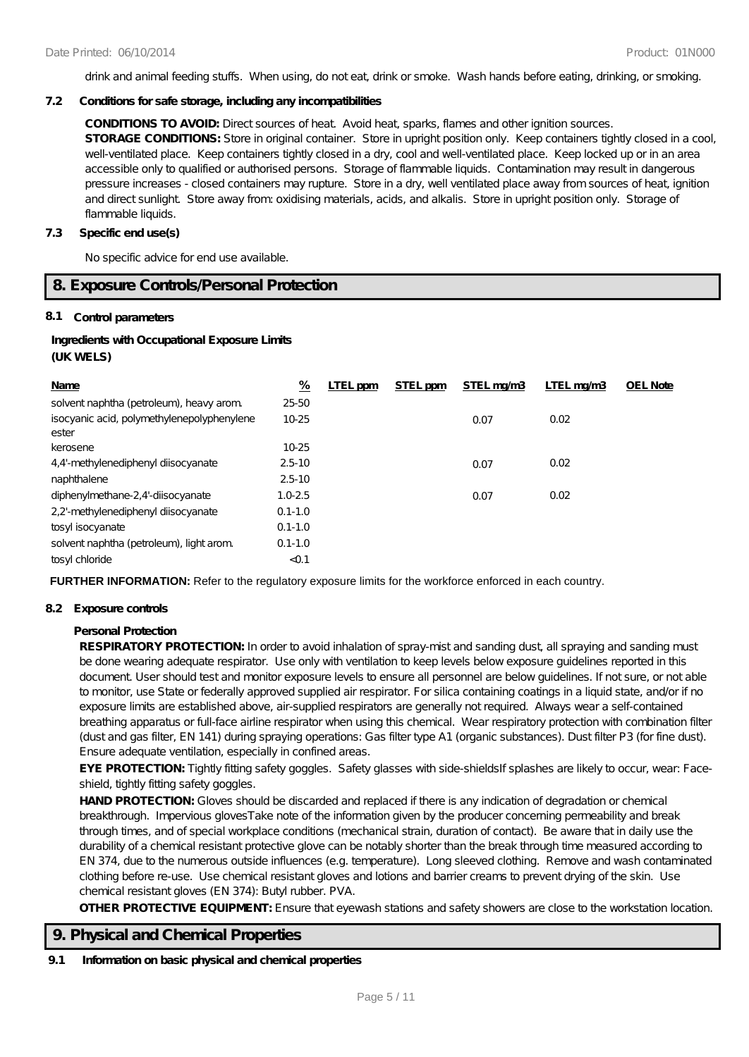drink and animal feeding stuffs. When using, do not eat, drink or smoke. Wash hands before eating, drinking, or smoking.

#### **7.2 Conditions for safe storage, including any incompatibilities**

**CONDITIONS TO AVOID:** Direct sources of heat. Avoid heat, sparks, flames and other ignition sources.

**STORAGE CONDITIONS:** Store in original container. Store in upright position only. Keep containers tightly closed in a cool, well-ventilated place. Keep containers tightly closed in a dry, cool and well-ventilated place. Keep locked up or in an area accessible only to qualified or authorised persons. Storage of flammable liquids. Contamination may result in dangerous pressure increases - closed containers may rupture. Store in a dry, well ventilated place away from sources of heat, ignition and direct sunlight. Store away from: oxidising materials, acids, and alkalis. Store in upright position only. Storage of flammable liquids.

#### **7.3 Specific end use(s)**

No specific advice for end use available.

### **8. Exposure Controls/Personal Protection**

#### **8.1 Control parameters**

## **Ingredients with Occupational Exposure Limits (UK WELS)**

| Name                                                | <u>%</u>    | LTEL ppm | STEL ppm | STEL mg/m3 | LTEL mg/m3 | <b>OEL Note</b> |
|-----------------------------------------------------|-------------|----------|----------|------------|------------|-----------------|
| solvent naphtha (petroleum), heavy arom.            | 25-50       |          |          |            |            |                 |
| isocyanic acid, polymethylenepolyphenylene<br>ester | 10-25       |          |          | 0.07       | 0.02       |                 |
| kerosene                                            | $10 - 25$   |          |          |            |            |                 |
| 4.4'-methylenediphenyl diisocyanate                 | $2.5 - 10$  |          |          | 0.07       | 0.02       |                 |
| naphthalene                                         | $2.5 - 10$  |          |          |            |            |                 |
| diphenylmethane-2,4'-diisocyanate                   | $1.0 - 2.5$ |          |          | 0.07       | 0.02       |                 |
| 2,2'-methylenediphenyl diisocyanate                 | $0.1 - 1.0$ |          |          |            |            |                 |
| tosyl isocyanate                                    | $0.1 - 1.0$ |          |          |            |            |                 |
| solvent naphtha (petroleum), light arom.            | $0.1 - 1.0$ |          |          |            |            |                 |
| tosyl chloride                                      | < 0.1       |          |          |            |            |                 |

**FURTHER INFORMATION:** Refer to the regulatory exposure limits for the workforce enforced in each country.

#### **8.2 Exposure controls**

#### **Personal Protection**

**RESPIRATORY PROTECTION:** In order to avoid inhalation of spray-mist and sanding dust, all spraying and sanding must be done wearing adequate respirator. Use only with ventilation to keep levels below exposure guidelines reported in this document. User should test and monitor exposure levels to ensure all personnel are below guidelines. If not sure, or not able to monitor, use State or federally approved supplied air respirator. For silica containing coatings in a liquid state, and/or if no exposure limits are established above, air-supplied respirators are generally not required. Always wear a self-contained breathing apparatus or full-face airline respirator when using this chemical. Wear respiratory protection with combination filter (dust and gas filter, EN 141) during spraying operations: Gas filter type A1 (organic substances). Dust filter P3 (for fine dust). Ensure adequate ventilation, especially in confined areas.

EYE PROTECTION: Tightly fitting safety goggles. Safety glasses with side-shieldsIf splashes are likely to occur, wear: Faceshield, tightly fitting safety goggles.

HAND PROTECTION: Gloves should be discarded and replaced if there is any indication of degradation or chemical breakthrough. Impervious glovesTake note of the information given by the producer concerning permeability and break through times, and of special workplace conditions (mechanical strain, duration of contact). Be aware that in daily use the durability of a chemical resistant protective glove can be notably shorter than the break through time measured according to EN 374, due to the numerous outside influences (e.g. temperature). Long sleeved clothing. Remove and wash contaminated clothing before re-use. Use chemical resistant gloves and lotions and barrier creams to prevent drying of the skin. Use chemical resistant gloves (EN 374): Butyl rubber. PVA.

**OTHER PROTECTIVE EQUIPMENT:** Ensure that eyewash stations and safety showers are close to the workstation location.

## **9. Physical and Chemical Properties**

#### **9.1 Information on basic physical and chemical properties**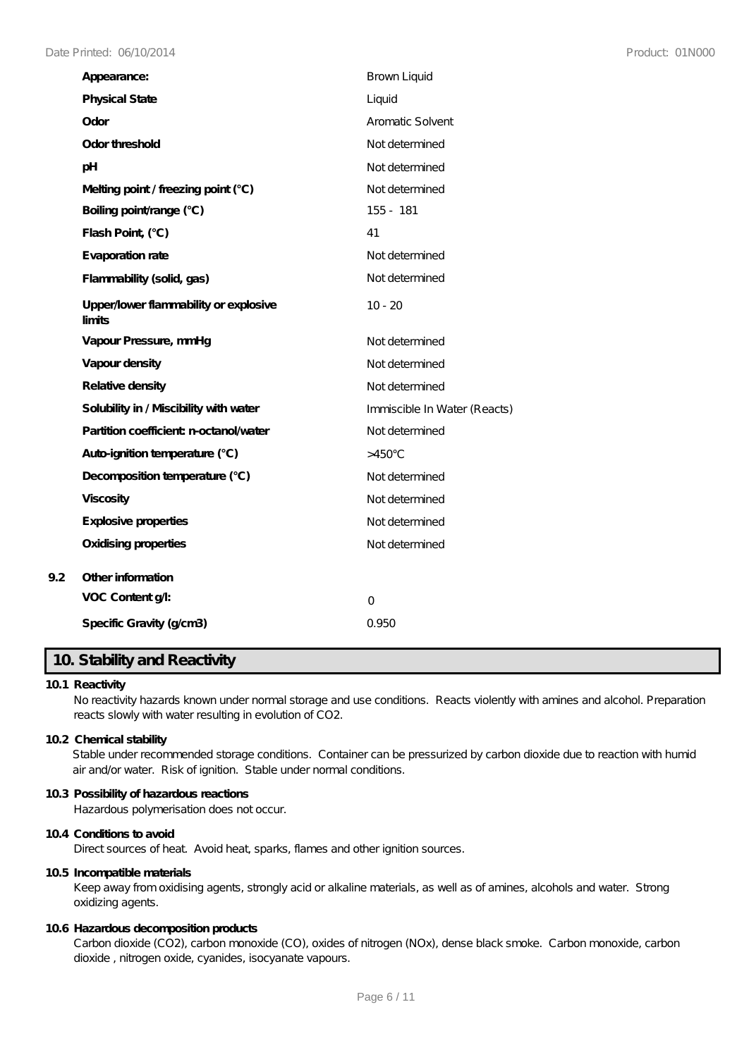| Appearance:                                     | <b>Brown Liquid</b>          |
|-------------------------------------------------|------------------------------|
| <b>Physical State</b>                           | Liquid                       |
| Odor                                            | Aromatic Solvent             |
| Odor threshold                                  | Not determined               |
| pH                                              | Not determined               |
| Melting point / freezing point (°C)             | Not determined               |
| Boiling point/range (°C)                        | 155 - 181                    |
| Flash Point, (°C)                               | 41                           |
| Evaporation rate                                | Not determined               |
| Flammability (solid, gas)                       | Not de termined              |
| Upper/lower flammability or explosive<br>limits | $10 - 20$                    |
| Vapour Pressure, mmHg                           | Not determined               |
| Vapour density                                  | Not determined               |
| Relative density                                | Not determined               |
| Solubility in / Miscibility with water          | Immiscible In Water (Reacts) |
| Partition coefficient n-octanol/water           | Not determined               |
| Auto-ignition temperature (°C)                  | $>450^{\circ}$ C             |
| Decomposition temperature (°C)                  | Not determined               |
| <b>Viscosity</b>                                | Not determined               |
| Explosive properties                            | Not determined               |
| <b>Oxidising properties</b>                     | Not determined               |
| Other information                               |                              |
| VOC Content g/l:                                | $\overline{O}$               |
| Specific Gravity (g/cm3)                        | 0.950                        |

# **10. Stability and Reactivity**

## **10.1 Reactivity**

**9.2 Other information**

No reactivity hazards known under normal storage and use conditions. Reacts violently with amines and alcohol. Preparation reacts slowly with water resulting in evolution of CO2.

#### **10.2 Chemical stability**

Stable under recommended storage conditions. Container can be pressurized by carbon dioxide due to reaction with humid air and/or water. Risk of ignition. Stable under normal conditions.

## **10.3 Possibility of hazardous reactions**

Hazardous polymerisation does not occur.

#### **10.4 Conditions to avoid** Direct sources of heat. Avoid heat, sparks, flames and other ignition sources.

#### **10.5 Incompatible materials**

Keep away from oxidising agents, strongly acid or alkaline materials, as well as of amines, alcohols and water. Strong oxidizing agents.

## **10.6 Hazardous decomposition products**

Carbon dioxide (CO2), carbon monoxide (CO), oxides of nitrogen (NOx), dense black smoke. Carbon monoxide, carbon dioxide , nitrogen oxide, cyanides, isocyanate vapours.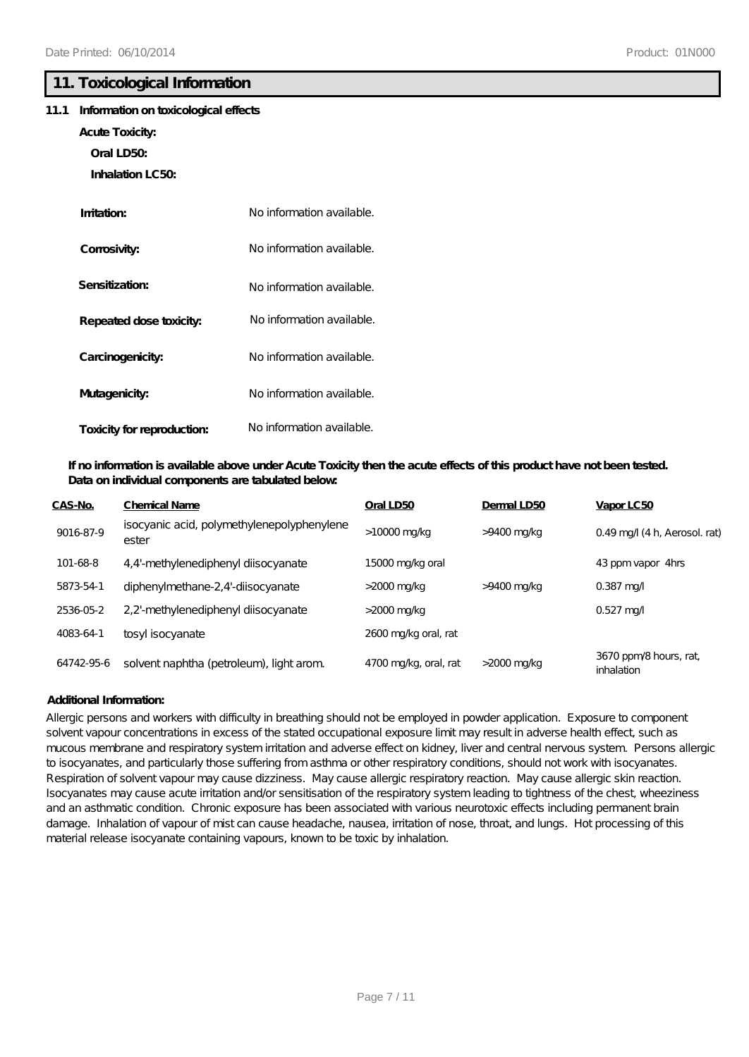## **11. Toxicological Information**

#### **11.1 Information on toxicological effects**

- **Acute Toxicity:**
	- **Oral LD50:**
	- **Inhalation LC50:**

| Imitation:                 | No information available. |
|----------------------------|---------------------------|
| Corrosivity:               | No information available. |
| Sensitization:             | No information available. |
| Repeated dose toxicity:    | No information available. |
| Carcinogenicity:           | No information available. |
| Mutagenicity:              | No information available. |
| Toxicity for reproduction: | No information available. |

## **If no information is available above under Acute Toxicity then the acute effects of this product have not been tested. Data on individual components are tabulated below:**

| CAS-No.    | <b>Chemical Name</b>                                | Oral LD50             | Dermal LD50    | Vapor LC50                          |
|------------|-----------------------------------------------------|-----------------------|----------------|-------------------------------------|
| 9016-87-9  | isocyanic acid, polymethylenepolyphenylene<br>ester | >10000 mg/kg          | >9400 mg/kg    | $0.49$ mg/ $(4 h,$ Aerosol. rat)    |
| 101-68-8   | 4,4'-methylenediphenyl diisocyanate                 | 15000 mg/kg oral      |                | 43 ppm vapor 4hrs                   |
| 5873-54-1  | diphenylmethane-2,4'-diisocyanate                   | >2000 mg/kg           | >9400 mg/kg    | $0.387$ mg/                         |
| 2536-05-2  | 2.2'-methylenediphenyl diisocyanate                 | $>$ 2000 mg/kg        |                | $0.527$ mg/                         |
| 4083-64-1  | tosyl isocyanate                                    | 2600 mg/kg oral, rat  |                |                                     |
| 64742-95-6 | solvent naphtha (petroleum), light arom.            | 4700 mg/kg, oral, rat | $>$ 2000 mg/kg | 3670 ppm/8 hours, rat<br>inhalation |

## **Additional Information:**

Allergic persons and workers with difficulty in breathing should not be employed in powder application. Exposure to component solvent vapour concentrations in excess of the stated occupational exposure limit may result in adverse health effect, such as mucous membrane and respiratory system irritation and adverse effect on kidney, liver and central nervous system. Persons allergic to isocyanates, and particularly those suffering from asthma or other respiratory conditions, should not work with isocyanates. Respiration of solvent vapour may cause dizziness. May cause allergic respiratory reaction. May cause allergic skin reaction. Isocyanates may cause acute irritation and/or sensitisation of the respiratory system leading to tightness of the chest, wheeziness and an asthmatic condition. Chronic exposure has been associated with various neurotoxic effects including permanent brain damage. Inhalation of vapour of mist can cause headache, nausea, irritation of nose, throat, and lungs. Hot processing of this material release isocyanate containing vapours, known to be toxic by inhalation.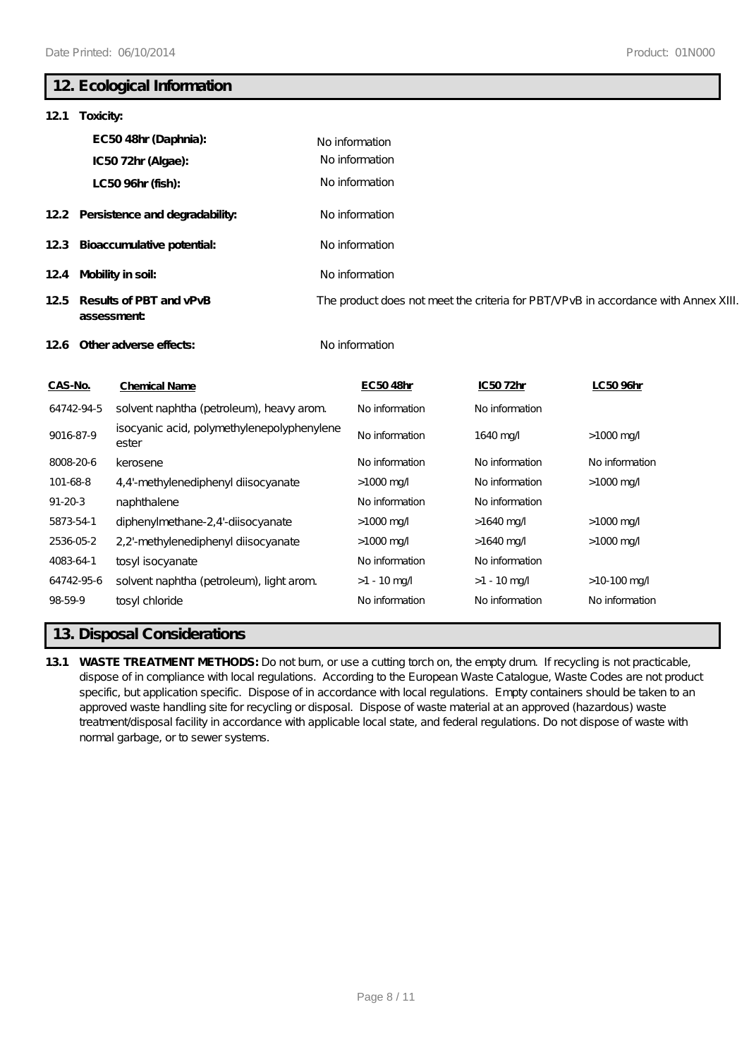# **12. Ecological Information**

| 12.1<br>Toxicity:                            |                                                     |                                                                                    |                |                        |  |
|----------------------------------------------|-----------------------------------------------------|------------------------------------------------------------------------------------|----------------|------------------------|--|
|                                              | EC5048hr (Daphnia):                                 | No information                                                                     |                |                        |  |
|                                              | IC5072hr (Algae):                                   | No information                                                                     |                |                        |  |
|                                              | LC50 96hr (fish):                                   | No information                                                                     |                |                        |  |
|                                              | 12.2 Persistence and degradability:                 | No information                                                                     |                |                        |  |
| 123                                          | Bioaccumulative potential:                          | No information                                                                     |                |                        |  |
| 12.4                                         | Mobility in soil:                                   | No information                                                                     |                |                        |  |
| Results of PBT and vPvB<br>125<br>assessment |                                                     | The product does not meet the criteria for PBT/VPvB in accordance with Annex XIII. |                |                        |  |
|                                              | 126 Other adverse effects:                          | No information                                                                     |                |                        |  |
| CAS-No.                                      | <b>Chemical Name</b>                                | EC5048hr                                                                           | IC5072hr       | LC50 96hr              |  |
| 64742-94-5                                   | solvent naphtha (petroleum), heavy arom.            | No information                                                                     | No information |                        |  |
| 9016-87-9                                    | isocyanic acid, polymethylenepolyphenylene<br>ester | No information                                                                     | 1640 mg/       | $>1000$ mg/            |  |
| 8008-20-6                                    | kerosene                                            | No information                                                                     | No information | No information         |  |
| 101-68-8                                     | 4,4'-methylenediphenyl diisocyanate                 | $>1000 \,\mathrm{mg}$                                                              | No information | $>1000 \,\mathrm{mg}$  |  |
| $91 - 20 - 3$                                | naphthalene                                         | No information                                                                     | No information |                        |  |
| 5873-54-1                                    | diphenylmethane-2,4'-diisocyanate                   | $>1000 \,\mathrm{mg}$                                                              | $>1640$ mg/    | $>1000 \,\mathrm{mag}$ |  |
| 2536-05-2                                    | 2,2'-methylenediphenyl diisocyanate                 | $>1000$ mg/                                                                        | $>1640$ mg/    | $>1000$ mg/            |  |
| 4083-64-1                                    | tosyl isocyanate                                    | No information                                                                     | No information |                        |  |
| 64742-95-6                                   | solvent naphtha (petroleum), light arom.            | $>1 - 10$ mg/                                                                      | $>1 - 10$ mg/  | $>10-100$ mg/          |  |
| 98-59-9                                      | tosyl chloride                                      | No information                                                                     | No information | No information         |  |

# **13. Disposal Considerations**

**13.1 WASTE TREATMENT METHODS:** Do not burn, or use a cutting torch on, the empty drum. If recycling is not practicable, dispose of in compliance with local regulations. According to the European Waste Catalogue, Waste Codes are not product specific, but application specific. Dispose of in accordance with local regulations. Empty containers should be taken to an approved waste handling site for recycling or disposal. Dispose of waste material at an approved (hazardous) waste treatment/disposal facility in accordance with applicable local state, and federal regulations. Do not dispose of waste with normal garbage, or to sewer systems.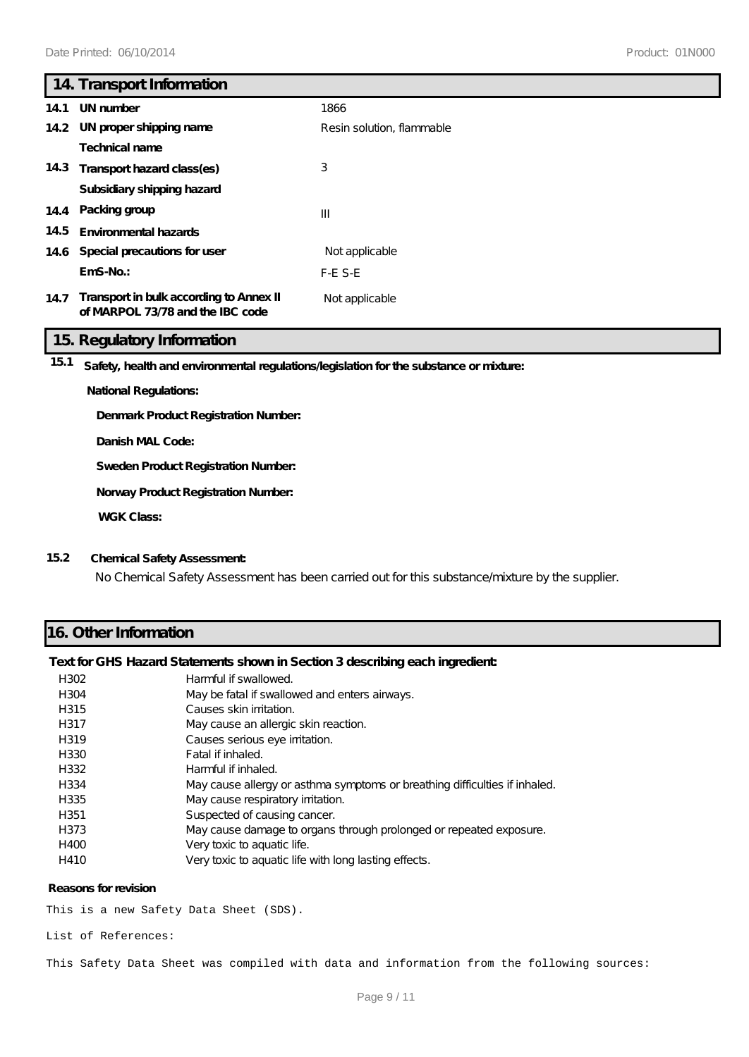|      | 14. Transport Information                                                   |                           |
|------|-----------------------------------------------------------------------------|---------------------------|
| 14.1 | UN number                                                                   | 1866                      |
|      | 14.2 UN proper shipping name                                                | Resin solution, flammable |
|      | <b>Technical name</b>                                                       |                           |
|      | 14.3 Transport hazard class(es)                                             | 3                         |
|      | Subsidiary shipping hazard                                                  |                           |
|      | 14.4 Packing group                                                          | $\mathbf{III}$            |
| 14.5 | Environmental hazards                                                       |                           |
|      | 14.6 Special precautions for user                                           | Not applicable            |
|      | $EmS-No.$                                                                   | $F-E$ S-E                 |
| 14.7 | Transport in bulk according to Annex II<br>of MARPOL 73/78 and the IBC code | Not applicable            |

## **15. Regulatory Information**

**15.1 Safety, health and environmental regulations/legislation for the substance or mixture:**

#### **National Regulations:**

**Denmark Product Registration Number:**

**Danish MAL Code:**

**Sweden Product Registration Number:**

**Norway Product Registration Number:**

**WGK Class:**

## **15.2 Chemical Safety Assessment:**

No Chemical Safety Assessment has been carried out for this substance/mixture by the supplier.

## **16. Other Information**

#### **Text for GHS Hazard Statements shown in Section 3 describing each ingredient:**

| H302             | Harmful if swallowed.                                                      |
|------------------|----------------------------------------------------------------------------|
| H304             | May be fatal if swallowed and enters airways.                              |
| H315             | Causes skin irritation.                                                    |
| H317             | May cause an allergic skin reaction.                                       |
| H319             | Causes serious eye irritation.                                             |
| H330             | Fatal if inhaled.                                                          |
| H332             | Harmful if inhaled.                                                        |
| H334             | May cause allergy or asthma symptoms or breathing difficulties if inhaled. |
| H335             | May cause respiratory irritation.                                          |
| H <sub>351</sub> | Suspected of causing cancer.                                               |
| H373             | May cause damage to organs through prolonged or repeated exposure.         |
| H400             | Very toxic to aquatic life.                                                |
| H410             | Very toxic to aquatic life with long lasting effects.                      |

#### **Reasons for revision**

This is a new Safety Data Sheet (SDS).

List of References:

This Safety Data Sheet was compiled with data and information from the following sources: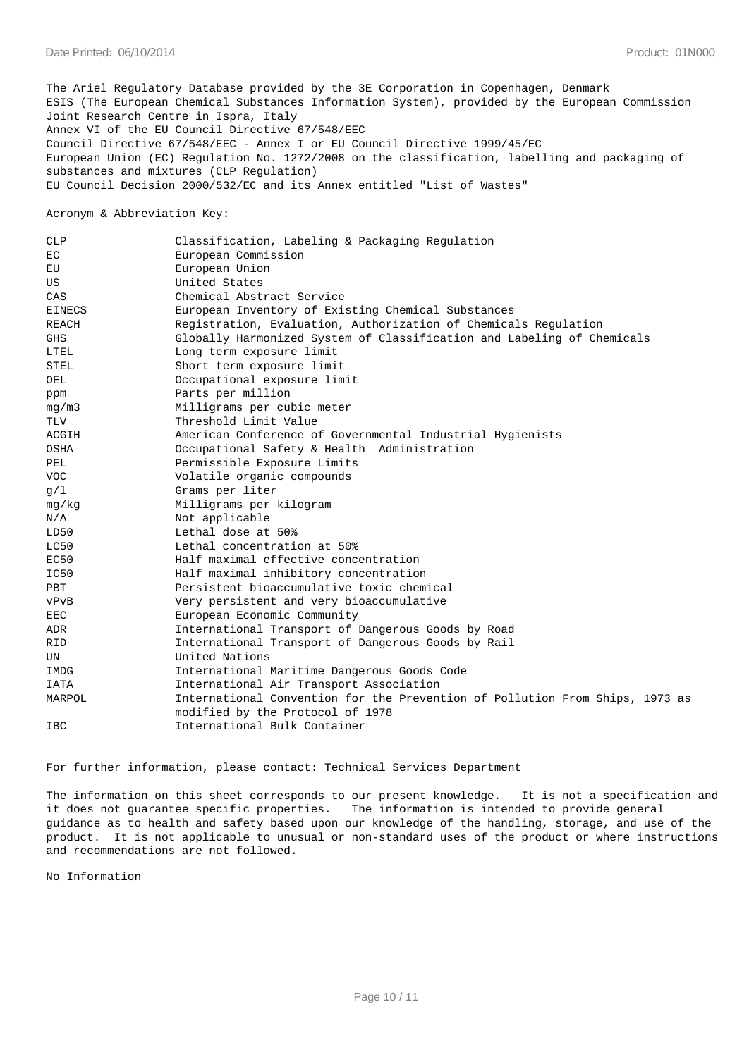The Ariel Regulatory Database provided by the 3E Corporation in Copenhagen, Denmark ESIS (The European Chemical Substances Information System), provided by the European Commission Joint Research Centre in Ispra, Italy Annex VI of the EU Council Directive 67/548/EEC Council Directive 67/548/EEC - Annex I or EU Council Directive 1999/45/EC European Union (EC) Regulation No. 1272/2008 on the classification, labelling and packaging of substances and mixtures (CLP Regulation) EU Council Decision 2000/532/EC and its Annex entitled "List of Wastes"

Acronym & Abbreviation Key:

| <b>CLP</b>    | Classification, Labeling & Packaging Regulation                              |
|---------------|------------------------------------------------------------------------------|
| EC.           | European Commission                                                          |
| EU            | European Union                                                               |
| US            | United States                                                                |
| CAS           | Chemical Abstract Service                                                    |
| <b>EINECS</b> | European Inventory of Existing Chemical Substances                           |
| REACH         | Registration, Evaluation, Authorization of Chemicals Regulation              |
| <b>GHS</b>    | Globally Harmonized System of Classification and Labeling of Chemicals       |
| LTEL          | Long term exposure limit                                                     |
| STEL          | Short term exposure limit                                                    |
| OEL           | Occupational exposure limit                                                  |
| ppm           | Parts per million                                                            |
| mq/m3         | Milligrams per cubic meter                                                   |
| TLV           | Threshold Limit Value                                                        |
| ACGIH         | American Conference of Governmental Industrial Hygienists                    |
| OSHA          | Occupational Safety & Health Administration                                  |
| PEL           | Permissible Exposure Limits                                                  |
| <b>VOC</b>    | Volatile organic compounds                                                   |
| q/1           | Grams per liter                                                              |
| mg/kg         | Milligrams per kilogram                                                      |
| N/A           | Not applicable                                                               |
| LD50          | Lethal dose at 50%                                                           |
| LC50          | Lethal concentration at 50%                                                  |
| EC50          | Half maximal effective concentration                                         |
| IC50          | Half maximal inhibitory concentration                                        |
| <b>PBT</b>    | Persistent bioaccumulative toxic chemical                                    |
| vPvB          | Very persistent and very bioaccumulative                                     |
| <b>EEC</b>    | European Economic Community                                                  |
| <b>ADR</b>    | International Transport of Dangerous Goods by Road                           |
| RID           | International Transport of Dangerous Goods by Rail                           |
| UN            | United Nations                                                               |
| IMDG          | International Maritime Dangerous Goods Code                                  |
| IATA          | International Air Transport Association                                      |
| MARPOL        | International Convention for the Prevention of Pollution From Ships, 1973 as |
|               | modified by the Protocol of 1978                                             |
| <b>IBC</b>    | International Bulk Container                                                 |

For further information, please contact: Technical Services Department

The information on this sheet corresponds to our present knowledge. It is not a specification and it does not guarantee specific properties. The information is intended to provide general guidance as to health and safety based upon our knowledge of the handling, storage, and use of the product. It is not applicable to unusual or non-standard uses of the product or where instructions and recommendations are not followed.

No Information